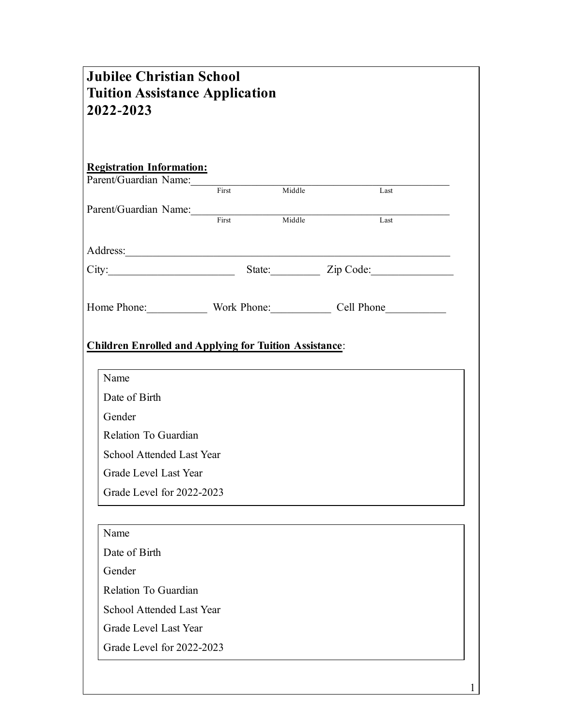| <b>Tuition Assistance Application</b><br>2022-2023            | <b>Jubilee Christian School</b> |      |  |
|---------------------------------------------------------------|---------------------------------|------|--|
| <b>Registration Information:</b>                              |                                 |      |  |
|                                                               |                                 | Last |  |
| Parent/Guardian Name: First Middle                            |                                 | Last |  |
| Address:                                                      |                                 |      |  |
| City: City: State: Zip Code:                                  |                                 |      |  |
| Home Phone: Work Phone: Cell Phone                            |                                 |      |  |
| <b>Children Enrolled and Applying for Tuition Assistance:</b> |                                 |      |  |
|                                                               |                                 |      |  |
| Name                                                          |                                 |      |  |
| Date of Birth                                                 |                                 |      |  |
| Gender                                                        |                                 |      |  |
| Relation To Guardian                                          |                                 |      |  |
| School Attended Last Year                                     |                                 |      |  |
| Grade Level Last Year                                         |                                 |      |  |
| Grade Level for 2022-2023                                     |                                 |      |  |
| Name                                                          |                                 |      |  |
| Date of Birth                                                 |                                 |      |  |
| Gender                                                        |                                 |      |  |
| Relation To Guardian                                          |                                 |      |  |
| <b>School Attended Last Year</b>                              |                                 |      |  |
| Grade Level Last Year                                         |                                 |      |  |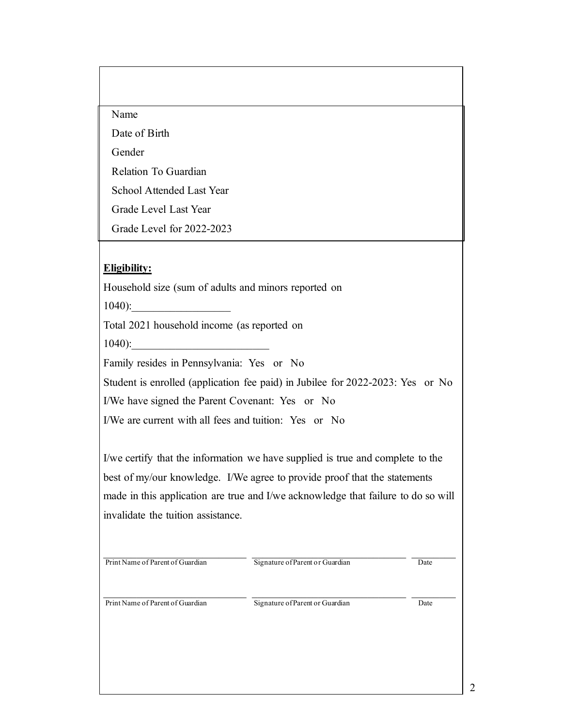#### Name

Date of Birth

Gender

Relation To Guardian

School Attended Last Year

Grade Level Last Year

Grade Level for 2022-2023

### **Eligibility:**

Household size (sum of adults and minors reported on

 $1040$ :

Total 2021 household income (as reported on

 $1040$ :

Family resides in Pennsylvania: Yes or No

Student is enrolled (application fee paid) in Jubilee for 2022-2023: Yes or No

I/We have signed the Parent Covenant: Yes or No

I/We are current with all fees and tuition: Yes or No

I/we certify that the information we have supplied is true and complete to the best of my/our knowledge. I/We agree to provide proof that the statements made in this application are true and I/we acknowledge that failure to do so will invalidate the tuition assistance.

Print Name of Parent of Guardian Signature of Parent or Guardian Date

Print Name of Parent of Guardian Signature of Parent or Guardian Date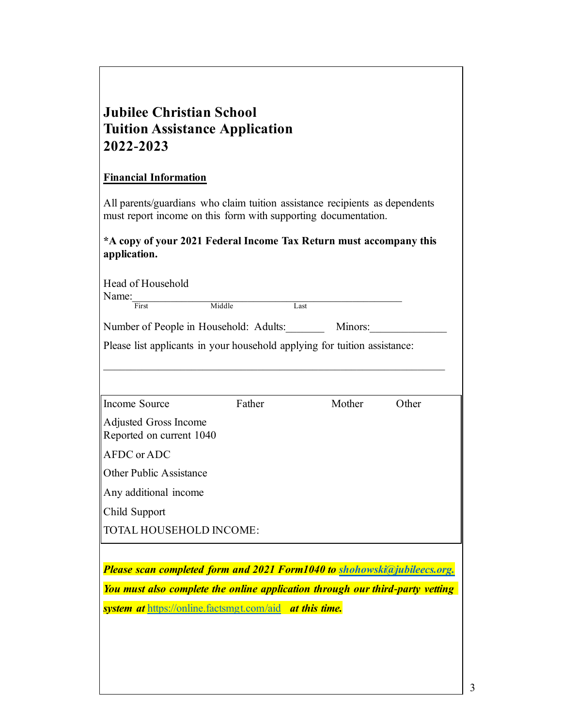# **Jubilee Christian School Tuition Assistance Application 2022-2023**

### **Financial Information**

All parents/guardians who claim tuition assistance recipients as dependents must report income on this form with supporting documentation.

## **\*A copy of your 2021 Federal Income Tax Return must accompany this application.**

| Head of Household<br>Name:<br>First                                           | Middle | Last    |       |  |  |  |
|-------------------------------------------------------------------------------|--------|---------|-------|--|--|--|
| Number of People in Household: Adults:                                        |        | Minors: |       |  |  |  |
| Please list applicants in your household applying for tuition assistance:     |        |         |       |  |  |  |
| Income Source                                                                 | Father | Mother  | Other |  |  |  |
| Adjusted Gross Income<br>Reported on current 1040                             |        |         |       |  |  |  |
| AFDC or ADC                                                                   |        |         |       |  |  |  |
| <b>Other Public Assistance</b>                                                |        |         |       |  |  |  |
| Any additional income                                                         |        |         |       |  |  |  |
| Child Support                                                                 |        |         |       |  |  |  |
| <b>TOTAL HOUSEHOLD INCOME:</b>                                                |        |         |       |  |  |  |
|                                                                               |        |         |       |  |  |  |
| Please scan completed form and 2021 Form1040 to shohowski@jubileecs.org.      |        |         |       |  |  |  |
| You must also complete the online application through our third-party vetting |        |         |       |  |  |  |
| system at https://online.factsmgt.com/aid at this time.                       |        |         |       |  |  |  |